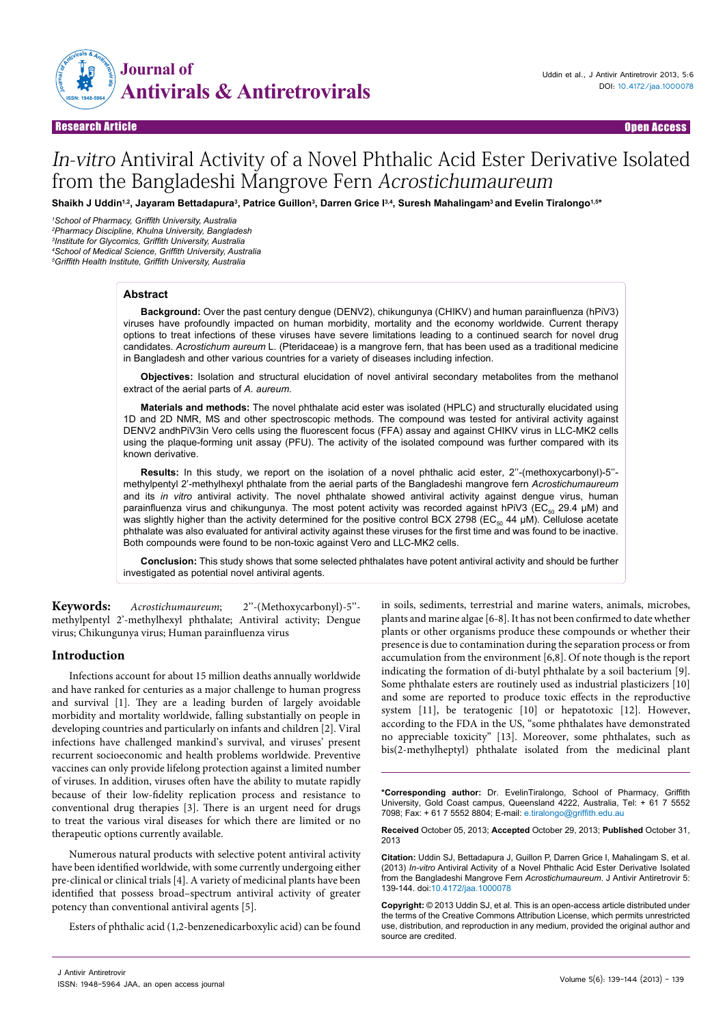

Research Article Open Access Research Article Open Access

# In-vitro Antiviral Activity of a Novel Phthalic Acid Ester Derivative Isolated from the Bangladeshi Mangrove Fern Acrostichumaureum

 $\bf S$ haikh J Uddin $^{1,2}$ , Jayaram Bettadapura $^3$ , Patrice Guillon $^3$ , Darren Grice I $^{3,4}$ , Suresh Mahalingam $^3$ and Evelin Tiralongo $^{1,54}$ 

*School of Pharmacy, Griffith University, Australia Pharmacy Discipline, Khulna University, Bangladesh Institute for Glycomics, Griffith University, Australia School of Medical Science, Griffith University, Australia Griffith Health Institute, Griffith University, Australia*

### **Abstract**

**Background:** Over the past century dengue (DENV2), chikungunya (CHIKV) and human parainfluenza (hPiV3) viruses have profoundly impacted on human morbidity, mortality and the economy worldwide. Current therapy options to treat infections of these viruses have severe limitations leading to a continued search for novel drug candidates. *Acrostichum aureum* L. (Pteridaceae) is a mangrove fern, that has been used as a traditional medicine in Bangladesh and other various countries for a variety of diseases including infection.

**Objectives:** Isolation and structural elucidation of novel antiviral secondary metabolites from the methanol extract of the aerial parts of *A. aureum.*

**Materials and methods:** The novel phthalate acid ester was isolated (HPLC) and structurally elucidated using 1D and 2D NMR, MS and other spectroscopic methods. The compound was tested for antiviral activity against DENV2 andhPiV3in Vero cells using the fluorescent focus (FFA) assay and against CHIKV virus in LLC-MK2 cells using the plaque-forming unit assay (PFU). The activity of the isolated compound was further compared with its known derivative.

**Results:** In this study, we report on the isolation of a novel phthalic acid ester, 2''-(methoxycarbonyl)-5'' methylpentyl 2'-methylhexyl phthalate from the aerial parts of the Bangladeshi mangrove fern *Acrostichumaureum* and its *in vitro* antiviral activity. The novel phthalate showed antiviral activity against dengue virus, human parainfluenza virus and chikungunya. The most potent activity was recorded against hPiV3 (EC<sub>50</sub> 29.4 µM) and was slightly higher than the activity determined for the positive control BCX 2798 (EC<sub>50</sub> 44 μM). Cellulose acetate phthalate was also evaluated for antiviral activity against these viruses for the first time and was found to be inactive. Both compounds were found to be non-toxic against Vero and LLC-MK2 cells.

**Conclusion:** This study shows that some selected phthalates have potent antiviral activity and should be further investigated as potential novel antiviral agents.

**Keywords:** Acrostichumaureum; 2''-(Methoxycarbonyl)-5'' methylpentyl 2'-methylhexyl phthalate; Antiviral activity; Dengue virus; Chikungunya virus; Human parainfluenza virus

## **Introduction**

Infections account for about 15 million deaths annually worldwide and have ranked for centuries as a major challenge to human progress and survival [1]. They are a leading burden of largely avoidable morbidity and mortality worldwide, falling substantially on people in developing countries and particularly on infants and children [2]. Viral infections have challenged mankind's survival, and viruses' present recurrent socioeconomic and health problems worldwide. Preventive vaccines can only provide lifelong protection against a limited number of viruses. In addition, viruses often have the ability to mutate rapidly because of their low-fidelity replication process and resistance to conventional drug therapies [3]. There is an urgent need for drugs to treat the various viral diseases for which there are limited or no therapeutic options currently available.

Numerous natural products with selective potent antiviral activity have been identified worldwide, with some currently undergoing either pre-clinical or clinical trials [4]. A variety of medicinal plants have been identified that possess broad–spectrum antiviral activity of greater potency than conventional antiviral agents [5].

Esters of phthalic acid (1,2-benzenedicarboxylic acid) can be found

in soils, sediments, terrestrial and marine waters, animals, microbes, plants and marine algae [6-8]. It has not been confirmed to date whether plants or other organisms produce these compounds or whether their presence is due to contamination during the separation process or from accumulation from the environment [6,8]. Of note though is the report indicating the formation of di-butyl phthalate by a soil bacterium [9]. Some phthalate esters are routinely used as industrial plasticizers [10] and some are reported to produce toxic effects in the reproductive system [11], be teratogenic [10] or hepatotoxic [12]. However, according to the FDA in the US, "some phthalates have demonstrated no appreciable toxicity" [13]. Moreover, some phthalates, such as bis(2-methylheptyl) phthalate isolated from the medicinal plant

**\*Corresponding author:** Dr. EvelinTiralongo, School of Pharmacy, Griffith University, Gold Coast campus, Queensland 4222, Australia, Tel: + 61 7 5552 7098; Fax: + 61 7 5552 8804; E-mail: e.tiralongo@griffith.edu.au

**Received** October 05, 2013; **Accepted** October 29, 2013; **Published** October 31, 2013

**Citation:** Uddin SJ, Bettadapura J, Guillon P, Darren Grice I, Mahalingam S, et al. (2013) *In-vitro* Antiviral Activity of a Novel Phthalic Acid Ester Derivative Isolated from the Bangladeshi Mangrove Fern *Acrostichumaureum*. J Antivir Antiretrovir 5: 139-144. doi:10.4172/jaa.1000078

**Copyright:** © 2013 Uddin SJ, et al. This is an open-access article distributed under the terms of the Creative Commons Attribution License, which permits unrestricted use, distribution, and reproduction in any medium, provided the original author and source are credited.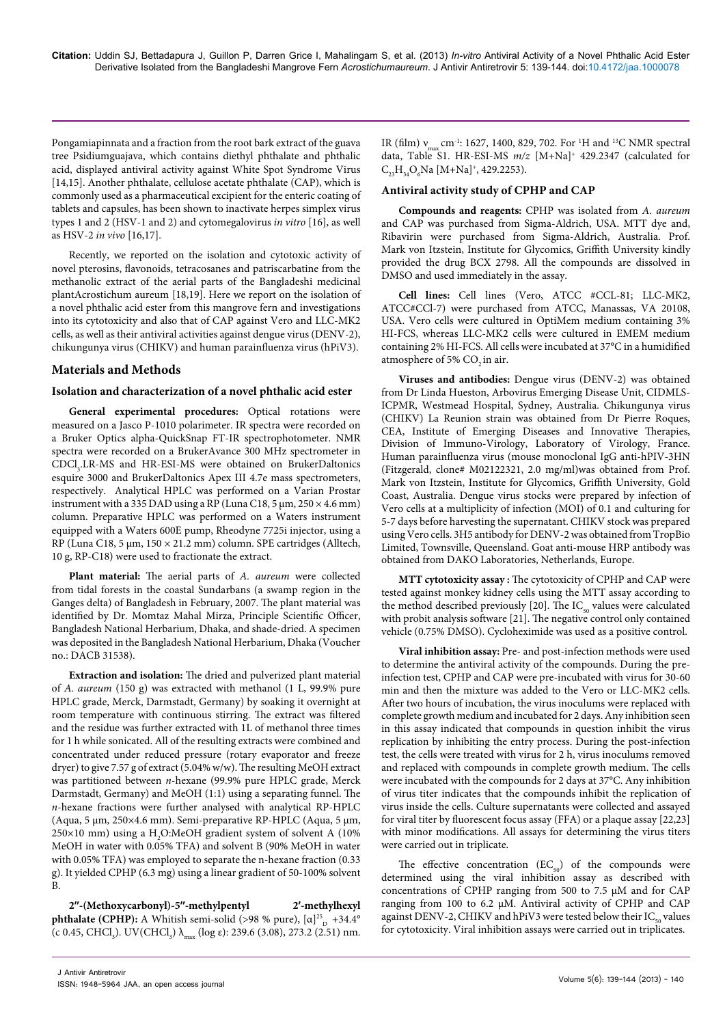Pongamiapinnata and a fraction from the root bark extract of the guava tree Psidiumguajava, which contains diethyl phthalate and phthalic acid, displayed antiviral activity against White Spot Syndrome Virus [14,15]. Another phthalate, cellulose acetate phthalate (CAP), which is commonly used as a pharmaceutical excipient for the enteric coating of tablets and capsules, has been shown to inactivate herpes simplex virus types 1 and 2 (HSV-1 and 2) and cytomegalovirus in vitro [16], as well as HSV-2 in vivo [16,17].

Recently, we reported on the isolation and cytotoxic activity of novel pterosins, flavonoids, tetracosanes and patriscarbatine from the methanolic extract of the aerial parts of the Bangladeshi medicinal plantAcrostichum aureum [18,19]. Here we report on the isolation of a novel phthalic acid ester from this mangrove fern and investigations into its cytotoxicity and also that of CAP against Vero and LLC-MK2 cells, as well as their antiviral activities against dengue virus (DENV-2), chikungunya virus (CHIKV) and human parainfluenza virus (hPiV3).

# **Materials and Methods**

## **Isolation and characterization of a novel phthalic acid ester**

**General experimental procedures:** Optical rotations were measured on a Jasco P-1010 polarimeter. IR spectra were recorded on a Bruker Optics alpha-QuickSnap FT-IR spectrophotometer. NMR spectra were recorded on a BrukerAvance 300 MHz spectrometer in CDCl<sub>3</sub>.LR-MS and HR-ESI-MS were obtained on BrukerDaltonics esquire 3000 and BrukerDaltonics Apex III 4.7e mass spectrometers, respectively. Analytical HPLC was performed on a Varian Prostar instrument with a 335 DAD using a RP (Luna C18, 5  $\mu$ m, 250  $\times$  4.6 mm) column. Preparative HPLC was performed on a Waters instrument equipped with a Waters 600E pump, Rheodyne 7725i injector, using a RP (Luna C18, 5 μm, 150 × 21.2 mm) column. SPE cartridges (Alltech, 10 g, RP-C18) were used to fractionate the extract.

**Plant material:** The aerial parts of A. aureum were collected from tidal forests in the coastal Sundarbans (a swamp region in the Ganges delta) of Bangladesh in February, 2007. The plant material was identified by Dr. Momtaz Mahal Mirza, Principle Scientific Officer, Bangladesh National Herbarium, Dhaka, and shade-dried. A specimen was deposited in the Bangladesh National Herbarium, Dhaka (Voucher no.: DACB 31538).

**Extraction and isolation:** The dried and pulverized plant material of A. aureum (150 g) was extracted with methanol (1 L, 99.9% pure HPLC grade, Merck, Darmstadt, Germany) by soaking it overnight at room temperature with continuous stirring. The extract was filtered and the residue was further extracted with 1L of methanol three times for 1 h while sonicated. All of the resulting extracts were combined and concentrated under reduced pressure (rotary evaporator and freeze dryer) to give 7.57 g of extract (5.04% w/w). The resulting MeOH extract was partitioned between n-hexane (99.9% pure HPLC grade, Merck Darmstadt, Germany) and MeOH (1:1) using a separating funnel. The n-hexane fractions were further analysed with analytical RP-HPLC (Aqua, 5 μm, 250×4.6 mm). Semi-preparative RP-HPLC (Aqua, 5 μm,  $250\times10$  mm) using a H<sub>2</sub>O:MeOH gradient system of solvent A (10%) MeOH in water with 0.05% TFA) and solvent B (90% MeOH in water with 0.05% TFA) was employed to separate the n-hexane fraction (0.33 g). It yielded CPHP (6.3 mg) using a linear gradient of 50-100% solvent  $\overline{B}$ 

**2′′-(Methoxycarbonyl)-5′′-methylpentyl 2′-methylhexyl phthalate (CPHP):** A Whitish semi-solid (>98 % pure), [ $\alpha$ ]<sup>25</sup><sub>D</sub> +34.4° (c 0.45, CHCl<sub>3</sub>). UV(CHCl<sub>3</sub>)  $\lambda_{\text{max}}$  (log  $\varepsilon$ ): 239.6 (3.08), 273.2 (2.51) nm. IR (film)  $v_{\text{max}}$  cm<sup>-1</sup>: 1627, 1400, 829, 702. For <sup>1</sup>H and <sup>13</sup>C NMR spectral data, Table S1. HR-ESI-MS  $m/z$  [M+Na]<sup>+</sup> 429.2347 (calculated for  $C_{23}H_{34}O_6$ Na [M+Na]<sup>+</sup>, 429.2253).

## **Antiviral activity study of CPHP and CAP**

**Compounds and reagents:** CPHP was isolated from A. aureum and CAP was purchased from Sigma-Aldrich, USA. MTT dye and, Ribavirin were purchased from Sigma-Aldrich, Australia. Prof. Mark von Itzstein, Institute for Glycomics, Griffith University kindly provided the drug BCX 2798. All the compounds are dissolved in DMSO and used immediately in the assay.

**Cell lines:** Cell lines (Vero, ATCC #CCL-81; LLC-MK2, ATCC#CCl-7) were purchased from ATCC, Manassas, VA 20108, USA. Vero cells were cultured in OptiMem medium containing 3% HI-FCS, whereas LLC-MK2 cells were cultured in EMEM medium containing 2% HI-FCS. All cells were incubated at 37°C in a humidified atmosphere of 5% CO<sub>2</sub> in air.

**Viruses and antibodies:** Dengue virus (DENV-2) was obtained from Dr Linda Hueston, Arbovirus Emerging Disease Unit, CIDMLS-ICPMR, Westmead Hospital, Sydney, Australia. Chikungunya virus (CHIKV) La Reunion strain was obtained from Dr Pierre Roques, CEA, Institute of Emerging Diseases and Innovative Therapies, Division of Immuno-Virology, Laboratory of Virology, France. Human parainfluenza virus (mouse monoclonal IgG anti-hPIV-3HN (Fitzgerald, clone# M02122321, 2.0 mg/ml)was obtained from Prof. Mark von Itzstein, Institute for Glycomics, Griffith University, Gold Coast, Australia. Dengue virus stocks were prepared by infection of Vero cells at a multiplicity of infection (MOI) of 0.1 and culturing for 5-7 days before harvesting the supernatant. CHIKV stock was prepared using Vero cells. 3H5 antibody for DENV-2 was obtained from TropBio Limited, Townsville, Queensland. Goat anti-mouse HRP antibody was obtained from DAKO Laboratories, Netherlands, Europe.

**MTT cytotoxicity assay :** The cytotoxicity of CPHP and CAP were tested against monkey kidney cells using the MTT assay according to the method described previously [20]. The  $IC_{50}$  values were calculated with probit analysis software [21]. The negative control only contained vehicle (0.75% DMSO). Cycloheximide was used as a positive control.

**Viral inhibition assay:** Pre- and post-infection methods were used to determine the antiviral activity of the compounds. During the preinfection test, CPHP and CAP were pre-incubated with virus for 30-60 min and then the mixture was added to the Vero or LLC-MK2 cells. After two hours of incubation, the virus inoculums were replaced with complete growth medium and incubated for 2 days. Any inhibition seen in this assay indicated that compounds in question inhibit the virus replication by inhibiting the entry process. During the post-infection test, the cells were treated with virus for 2 h, virus inoculums removed and replaced with compounds in complete growth medium. The cells were incubated with the compounds for 2 days at 37°C. Any inhibition of virus titer indicates that the compounds inhibit the replication of virus inside the cells. Culture supernatants were collected and assayed for viral titer by fluorescent focus assay (FFA) or a plaque assay [22,23] with minor modifications. All assays for determining the virus titers were carried out in triplicate.

The effective concentration  $(EC_{50})$  of the compounds were determined using the viral inhibition assay as described with concentrations of CPHP ranging from 500 to 7.5 μM and for CAP ranging from 100 to 6.2 μM. Antiviral activity of CPHP and CAP against DENV-2, CHIKV and hPiV3 were tested below their IC<sub>50</sub> values for cytotoxicity. Viral inhibition assays were carried out in triplicates.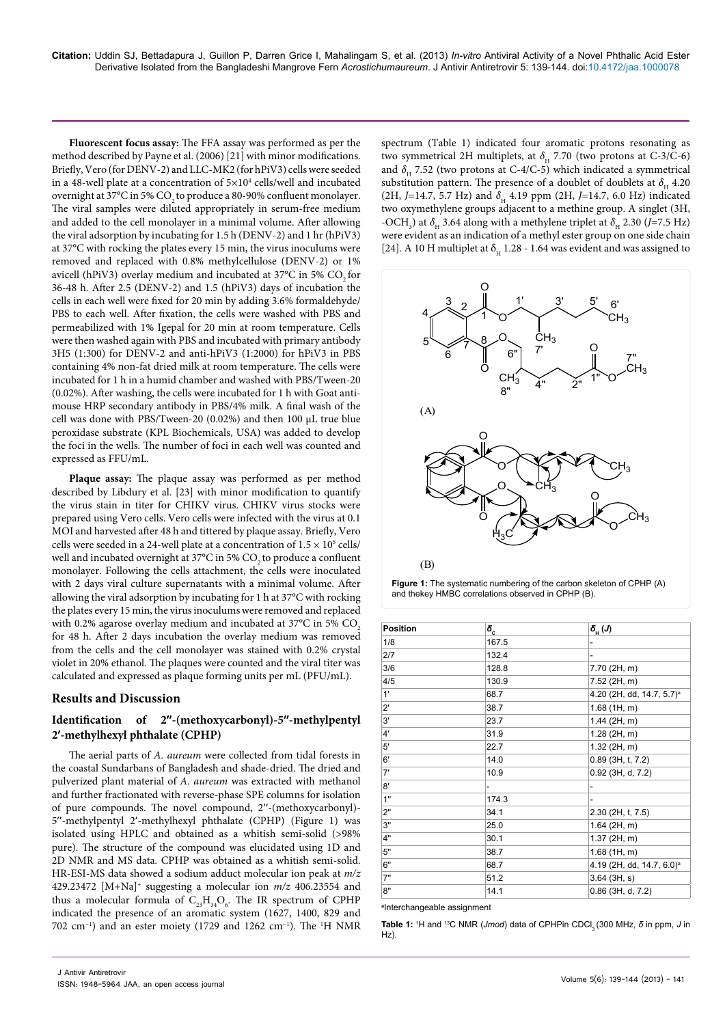**Fluorescent focus assay:** The FFA assay was performed as per the method described by Payne et al. (2006) [21] with minor modifications. Briefly, Vero (for DENV-2) and LLC-MK2 (for hPiV3) cells were seeded in a 48-well plate at a concentration of 5×10<sup>4</sup> cells/well and incubated overnight at 37°C in 5% CO<sub>2</sub> to produce a 80-90% confluent monolayer. The viral samples were diluted appropriately in serum-free medium and added to the cell monolayer in a minimal volume. After allowing the viral adsorption by incubating for 1.5 h (DENV-2) and 1 hr (hPiV3) at 37°C with rocking the plates every 15 min, the virus inoculums were removed and replaced with 0.8% methylcellulose (DENV-2) or 1% avicell (hPiV3) overlay medium and incubated at 37°C in 5% CO<sub>2</sub> for 36-48 h. After 2.5 (DENV-2) and 1.5 (hPiV3) days of incubation the cells in each well were fixed for 20 min by adding 3.6% formaldehyde/ PBS to each well. After fixation, the cells were washed with PBS and permeabilized with 1% Igepal for 20 min at room temperature. Cells were then washed again with PBS and incubated with primary antibody 3H5 (1:300) for DENV-2 and anti-hPiV3 (1:2000) for hPiV3 in PBS containing 4% non-fat dried milk at room temperature. The cells were incubated for 1 h in a humid chamber and washed with PBS/Tween-20 (0.02%). After washing, the cells were incubated for 1 h with Goat antimouse HRP secondary antibody in PBS/4% milk. A final wash of the cell was done with PBS/Tween-20 (0.02%) and then 100 μL true blue peroxidase substrate (KPL Biochemicals, USA) was added to develop the foci in the wells. The number of foci in each well was counted and expressed as FFU/mL.

**Plaque assay:** The plaque assay was performed as per method described by Libdury et al. [23] with minor modification to quantify the virus stain in titer for CHIKV virus. CHIKV virus stocks were prepared using Vero cells. Vero cells were infected with the virus at 0.1 MOI and harvested after 48 h and tittered by plaque assay. Briefly, Vero cells were seeded in a 24-well plate at a concentration of  $1.5 \times 10^5$  cells/ well and incubated overnight at 37°C in 5% CO<sub>2</sub> to produce a confluent monolayer. Following the cells attachment, the cells were inoculated with 2 days viral culture supernatants with a minimal volume. After allowing the viral adsorption by incubating for 1 h at 37°C with rocking the plates every 15 min, the virus inoculums were removed and replaced with 0.2% agarose overlay medium and incubated at  $37^{\circ}$ C in 5% CO<sub>2</sub> for 48 h. After 2 days incubation the overlay medium was removed from the cells and the cell monolayer was stained with 0.2% crystal violet in 20% ethanol. The plaques were counted and the viral titer was calculated and expressed as plaque forming units per mL (PFU/mL).

# **Results and Discussion**

# **Identification of 2′′-(methoxycarbonyl)-5′′-methylpentyl 2′-methylhexyl phthalate (CPHP)**

The aerial parts of A. aureum were collected from tidal forests in the coastal Sundarbans of Bangladesh and shade-dried. The dried and pulverized plant material of A. aureum was extracted with methanol and further fractionated with reverse-phase SPE columns for isolation of pure compounds. The novel compound, 2′′-(methoxycarbonyl)- 5′′-methylpentyl 2′-methylhexyl phthalate (CPHP) (Figure 1) was isolated using HPLC and obtained as a whitish semi-solid (>98% pure). The structure of the compound was elucidated using 1D and 2D NMR and MS data. CPHP was obtained as a whitish semi-solid. HR-ESI-MS data showed a sodium adduct molecular ion peak at  $m/z$ 429.23472 [M+Na]<sup>+</sup> suggesting a molecular ion  $m/z$  406.23554 and thus a molecular formula of  $C_{23}H_{34}O_6$ . The IR spectrum of CPHP indicated the presence of an aromatic system (1627, 1400, 829 and 702 cm−1) and an ester moiety (1729 and 1262 cm−1). The <sup>1</sup>H NMR

spectrum (Table 1) indicated four aromatic protons resonating as two symmetrical 2H multiplets, at  $\delta_{\rm H}$  7.70 (two protons at C-3/C-6) and  $\delta_{\rm H}$  7.52 (two protons at C-4/C-5) which indicated a symmetrical substitution pattern. The presence of a doublet of doublets at  $\delta_{\rm _{H}}$  4.20 (2H, J=14.7, 5.7 Hz) and  $\delta_{\rm H}$  4.19 ppm (2H, J=14.7, 6.0 Hz) indicated two oxymethylene groups adjacent to a methine group. A singlet (3H, -OCH<sub>3</sub>) at  $\delta_{\rm H}$  3.64 along with a methylene triplet at  $\delta_{\rm H}$  2.30 (J=7.5 Hz) were evident as an indication of a methyl ester group on one side chain [24]. A 10 H multiplet at  $\delta_{\rm H}$  1.28 - 1.64 was evident and was assigned to





| <b>Position</b> | $\delta_{\rm c}$ | $\delta_{\rm H}(\rm J)$               |
|-----------------|------------------|---------------------------------------|
| 1/8             | 167.5            |                                       |
| 2/7             | 132.4            |                                       |
| 3/6             | 128.8            | 7.70 (2H, m)                          |
| 4/5             | 130.9            | 7.52 (2H, m)                          |
| 1'              | 68.7             | 4.20 (2H, dd, 14.7, 5.7) <sup>a</sup> |
| $2^{\prime}$    | 38.7             | 1.68(1H, m)                           |
| 3'              | 23.7             | 1.44 (2H, m)                          |
| 4'              | 31.9             | 1.28 (2H, m)                          |
| 5'              | 22.7             | $1.32$ (2H, m)                        |
| 6'              | 14.0             | 0.89 (3H, t, 7.2)                     |
| 7'              | 10.9             | 0.92 (3H, d, 7.2)                     |
| 8'              |                  |                                       |
| 1"              | 174.3            | ۰                                     |
| 2"              | 34.1             | 2.30 (2H, t, 7.5)                     |
| 3"              | 25.0             | 1.64 (2H, m)                          |
| 4"              | 30.1             | $1.37$ (2H, m)                        |
| 5"              | 38.7             | 1.68 (1H, m)                          |
| 6"              | 68.7             | 4.19 (2H, dd, 14.7, 6.0) <sup>a</sup> |
| 7"              | 51.2             | $3.64$ ( $3H, s$ )                    |
| 8"              | 14.1             | $0.86$ (3H, d, $7.2$ )                |

**a** Interchangeable assignment

Table 1: <sup>1</sup>H and <sup>13</sup>C NMR (*Jmod*) data of CPHPin CDCl<sub>3</sub> (300 MHz, δ in ppm, *J* in Hz)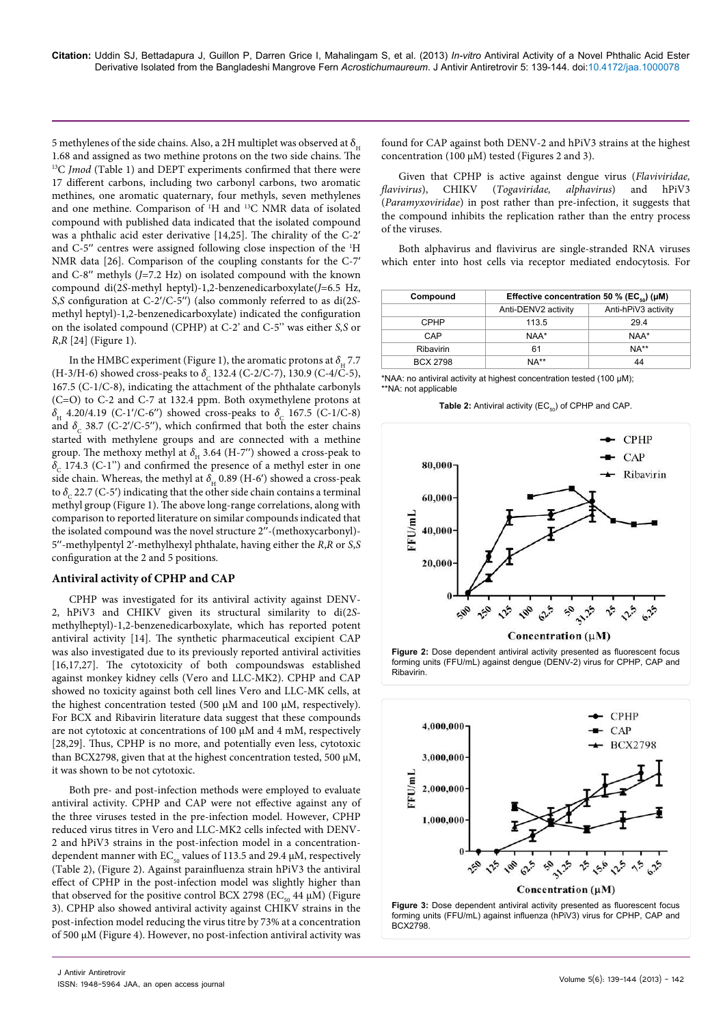5 methylenes of the side chains. Also, a 2H multiplet was observed at  $\delta$ <sub>u</sub> 1.68 and assigned as two methine protons on the two side chains. The  $13C$  Jmod (Table 1) and DEPT experiments confirmed that there were 17 different carbons, including two carbonyl carbons, two aromatic methines, one aromatic quaternary, four methyls, seven methylenes and one methine. Comparison of <sup>1</sup>H and <sup>13</sup>C NMR data of isolated compound with published data indicated that the isolated compound was a phthalic acid ester derivative [14,25]. The chirality of the C-2′ and C-5′′ centres were assigned following close inspection of the <sup>1</sup>H NMR data [26]. Comparison of the coupling constants for the C-7′ and C-8′′ methyls (J=7.2 Hz) on isolated compound with the known compound di(2S-methyl heptyl)-1,2-benzenedicarboxylate(J=6.5 Hz, S,S configuration at C-2'/C-5") (also commonly referred to as di(2Smethyl heptyl)-1,2-benzenedicarboxylate) indicated the configuration on the isolated compound (CPHP) at C-2' and C-5'' was either S,S or R,R [24] (Figure 1).

In the HMBC experiment (Figure 1), the aromatic protons at  $\delta_{_{\rm H}}$  7.7 (H-3/H-6) showed cross-peaks to  $\delta_c$  132.4 (C-2/C-7), 130.9 (C-4/C-5), 167.5 (C-1/C-8), indicating the attachment of the phthalate carbonyls (C=O) to C-2 and C-7 at 132.4 ppm. Both oxymethylene protons at  $\delta_{\rm H}$  4.20/4.19 (C-1'/C-6") showed cross-peaks to  $\delta_{\rm C}$  167.5 (C-1/C-8) and  $\delta_{\rm c}$  38.7 (C-2'/C-5"), which confirmed that both the ester chains started with methylene groups and are connected with a methine group. The methoxy methyl at  $\delta_{\rm _{H}}$  3.64 (H-7′′) showed a cross-peak to  $\delta_{\rm c}$  174.3 (C-1") and confirmed the presence of a methyl ester in one side chain. Whereas, the methyl at  $\delta_{\rm _{H}}$  0.89 (H-6 $^{\prime}$ ) showed a cross-peak to  $\delta_{_{\rm C}}$  22.7 (C-5 $^{\prime}$ ) indicating that the other side chain contains a terminal methyl group (Figure 1). The above long-range correlations, along with comparison to reported literature on similar compounds indicated that the isolated compound was the novel structure 2′′-(methoxycarbonyl)- 5′′-methylpentyl 2′-methylhexyl phthalate, having either the R,R or S,S configuration at the 2 and 5 positions.

## **Antiviral activity of CPHP and CAP**

CPHP was investigated for its antiviral activity against DENV-2, hPiV3 and CHIKV given its structural similarity to di(2Smethylheptyl)-1,2-benzenedicarboxylate, which has reported potent antiviral activity [14]. The synthetic pharmaceutical excipient CAP was also investigated due to its previously reported antiviral activities [16,17,27]. The cytotoxicity of both compoundswas established against monkey kidney cells (Vero and LLC-MK2). CPHP and CAP showed no toxicity against both cell lines Vero and LLC-MK cells, at the highest concentration tested (500 μM and 100 μM, respectively). For BCX and Ribavirin literature data suggest that these compounds are not cytotoxic at concentrations of 100 μM and 4 mM, respectively [28,29]. Thus, CPHP is no more, and potentially even less, cytotoxic than BCX2798, given that at the highest concentration tested, 500 μM, it was shown to be not cytotoxic.

Both pre- and post-infection methods were employed to evaluate antiviral activity. CPHP and CAP were not effective against any of the three viruses tested in the pre-infection model. However, CPHP reduced virus titres in Vero and LLC-MK2 cells infected with DENV-2 and hPiV3 strains in the post-infection model in a concentrationdependent manner with  $EC_{50}$  values of 113.5 and 29.4  $\mu$ M, respectively (Table 2), (Figure 2). Against parainfluenza strain hPiV3 the antiviral effect of CPHP in the post-infection model was slightly higher than that observed for the positive control BCX 2798 (EC<sub>50</sub> 44 μM) (Figure 3). CPHP also showed antiviral activity against CHIKV strains in the post-infection model reducing the virus titre by 73% at a concentration of 500 μM (Figure 4). However, no post-infection antiviral activity was found for CAP against both DENV-2 and hPiV3 strains at the highest concentration (100 μM) tested (Figures 2 and 3).

Given that CPHP is active against dengue virus (Flaviviridae, flavivirus), CHIKV (Togaviridae, alphavirus) and hPiV3 (Paramyxoviridae) in post rather than pre-infection, it suggests that the compound inhibits the replication rather than the entry process of the viruses.

Both alphavirus and flavivirus are single-stranded RNA viruses which enter into host cells via receptor mediated endocytosis. For

| Compound        |                     | Effective concentration 50 % (EC <sub>so</sub> ) ( $\mu$ M) |  |
|-----------------|---------------------|-------------------------------------------------------------|--|
|                 | Anti-DENV2 activity | Anti-hPiV3 activity                                         |  |
| <b>CPHP</b>     | 113.5               | 29.4                                                        |  |
| CAP             | NAA*                | NAA*                                                        |  |
| Ribavirin       | 61                  | $NA**$                                                      |  |
| <b>BCX 2798</b> | $NA**$              | 44                                                          |  |

\*NAA: no antiviral activity at highest concentration tested (100 μM); \*\*NA: not applicable

Table 2: Antiviral activity (EC<sub>50</sub>) of CPHP and CAP.





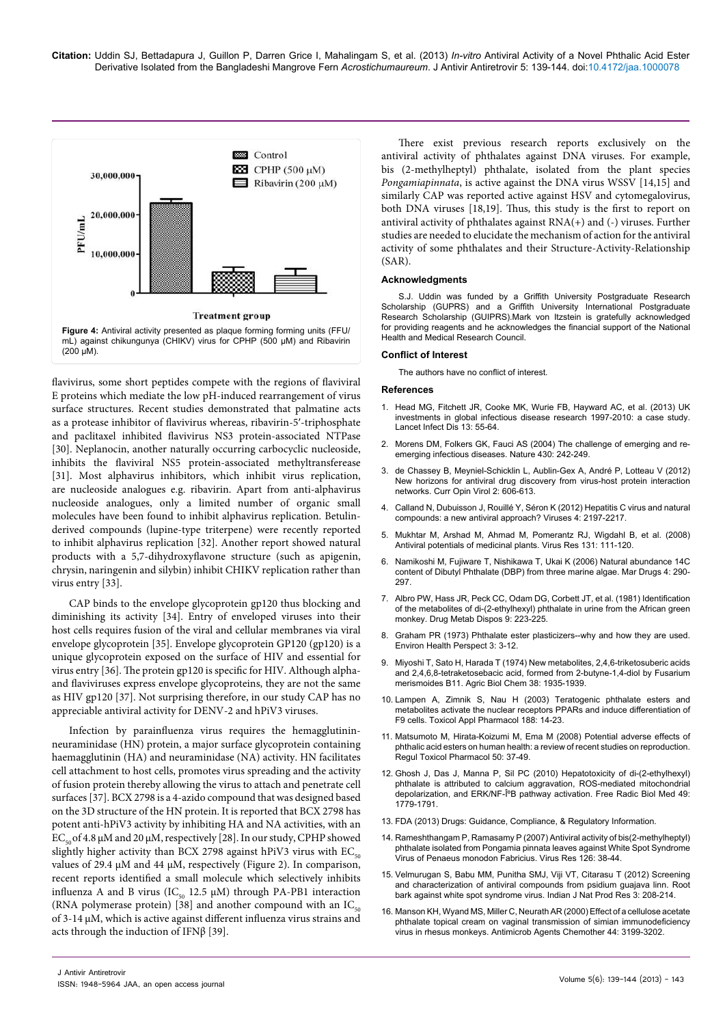

flavivirus, some short peptides compete with the regions of flaviviral E proteins which mediate the low pH-induced rearrangement of virus surface structures. Recent studies demonstrated that palmatine acts as a protease inhibitor of flavivirus whereas, ribavirin-5′-triphosphate and paclitaxel inhibited flavivirus NS3 protein-associated NTPase [30]. Neplanocin, another naturally occurring carbocyclic nucleoside, inhibits the flaviviral NS5 protein-associated methyltransferease [31]. Most alphavirus inhibitors, which inhibit virus replication, are nucleoside analogues e.g. ribavirin. Apart from anti-alphavirus nucleoside analogues, only a limited number of organic small molecules have been found to inhibit alphavirus replication. Betulinderived compounds (lupine-type triterpene) were recently reported to inhibit alphavirus replication [32]. Another report showed natural products with a 5,7-dihydroxyflavone structure (such as apigenin, chrysin, naringenin and silybin) inhibit CHIKV replication rather than virus entry [33].

CAP binds to the envelope glycoprotein gp120 thus blocking and diminishing its activity [34]. Entry of enveloped viruses into their host cells requires fusion of the viral and cellular membranes via viral envelope glycoprotein [35]. Envelope glycoprotein GP120 (gp120) is a unique glycoprotein exposed on the surface of HIV and essential for virus entry [36]. The protein gp120 is specific for HIV. Although alphaand flaviviruses express envelope glycoproteins, they are not the same as HIV gp120 [37]. Not surprising therefore, in our study CAP has no appreciable antiviral activity for DENV-2 and hPiV3 viruses.

Infection by parainfluenza virus requires the hemagglutininneuraminidase (HN) protein, a major surface glycoprotein containing haemagglutinin (HA) and neuraminidase (NA) activity. HN facilitates cell attachment to host cells, promotes virus spreading and the activity of fusion protein thereby allowing the virus to attach and penetrate cell surfaces [37]. BCX 2798 is a 4-azido compound that was designed based on the 3D structure of the HN protein. It is reported that BCX 2798 has potent anti-hPiV3 activity by inhibiting HA and NA activities, with an EC<sub>50</sub> of 4.8 μM and 20 μM, respectively [28]. In our study, CPHP showed slightly higher activity than BCX 2798 against hPiV3 virus with  $EC_{50}$ values of 29.4 μM and 44 μM, respectively (Figure 2). In comparison, recent reports identified a small molecule which selectively inhibits influenza A and B virus ( $IC_{50}$  12.5  $\mu$ M) through PA-PB1 interaction (RNA polymerase protein) [38] and another compound with an  $IC_{50}$ of 3-14 μM, which is active against different influenza virus strains and acts through the induction of IFNβ [39].

There exist previous research reports exclusively on the antiviral activity of phthalates against DNA viruses. For example, bis (2-methylheptyl) phthalate, isolated from the plant species Pongamiapinnata, is active against the DNA virus WSSV [14,15] and similarly CAP was reported active against HSV and cytomegalovirus, both DNA viruses [18,19]. Thus, this study is the first to report on antiviral activity of phthalates against RNA(+) and (-) viruses. Further studies are needed to elucidate the mechanism of action for the antiviral activity of some phthalates and their Structure-Activity-Relationship (SAR).

### **Acknowledgments**

S.J. Uddin was funded by a Griffith University Postgraduate Research Scholarship (GUPRS) and a Griffith University International Postgraduate Research Scholarship (GUIPRS).Mark von Itzstein is gratefully acknowledged for providing reagents and he acknowledges the financial support of the National Health and Medical Research Council.

#### **Conflict of Interest**

The authors have no conflict of interest.

#### **References**

- 1. Head MG, Fitchett JR, Cooke MK, Wurie FB, Hayward AC, et al. (2013) UK investments in global infectious disease research 1997-2010: a case study. Lancet Infect Dis 13: 55-64.
- 2. Morens DM, Folkers GK, Fauci AS (2004) The challenge of emerging and reemerging infectious diseases. Nature 430: 242-249.
- 3. de Chassey B, Meyniel-Schicklin L, Aublin-Gex A, André P, Lotteau V (2012) New horizons for antiviral drug discovery from virus-host protein interaction networks. Curr Opin Virol 2: 606-613.
- 4. Calland N, Dubuisson J, Rouillé Y, Séron K (2012) Hepatitis C virus and natural compounds: a new antiviral approach? Viruses 4: 2197-2217.
- 5. Mukhtar M, Arshad M, Ahmad M, Pomerantz RJ, Wigdahl B, et al. (2008) Antiviral potentials of medicinal plants. Virus Res 131: 111-120.
- 6. Namikoshi M, Fujiware T, Nishikawa T, Ukai K (2006) Natural abundance 14C content of Dibutyl Phthalate (DBP) from three marine algae. Mar Drugs 4: 290- 297.
- 7. Albro PW, Hass JR, Peck CC, Odam DG, Corbett JT, et al. (1981) Identification of the metabolites of di-(2-ethylhexyl) phthalate in urine from the African green monkey. Drug Metab Dispos 9: 223-225.
- 8. Graham PR (1973) Phthalate ester plasticizers--why and how they are used. Environ Health Perspect 3: 3-12.
- 9. Miyoshi T, Sato H, Harada T (1974) New metabolites, 2,4,6-triketosuberic acids and 2,4,6,8-tetraketosebacic acid, formed from 2-butyne-1,4-diol by Fusarium merismoides B11. Agric Biol Chem 38: 1935-1939.
- 10. Lampen A, Zimnik S, Nau H (2003) Teratogenic phthalate esters and metabolites activate the nuclear receptors PPARs and induce differentiation of F9 cells. Toxicol Appl Pharmacol 188: 14-23.
- 11. Matsumoto M, Hirata-Koizumi M, Ema M (2008) Potential adverse effects of phthalic acid esters on human health: a review of recent studies on reproduction. Regul Toxicol Pharmacol 50: 37-49.
- 12. Ghosh J, Das J, Manna P, Sil PC (2010) Hepatotoxicity of di-(2-ethylhexyl) phthalate is attributed to calcium aggravation, ROS-mediated mitochondrial depolarization, and ERK/NF-κB pathway activation. Free Radic Biol Med 49: 1779-1791.
- 13. FDA (2013) Drugs: Guidance, Compliance, & Regulatory Information.
- 14. Rameshthangam P, Ramasamy P (2007) Antiviral activity of bis(2-methylheptyl) phthalate isolated from Pongamia pinnata leaves against White Spot Syndrome Virus of Penaeus monodon Fabricius. Virus Res 126: 38-44.
- 15. Velmurugan S, Babu MM, Punitha SMJ, Viji VT, Citarasu T (2012) Screening and characterization of antiviral compounds from psidium guajava linn. Root bark against white spot syndrome virus. Indian J Nat Prod Res 3: 208-214.
- 16. Manson KH, Wyand MS, Miller C, Neurath AR (2000) Effect of a cellulose acetate phthalate topical cream on vaginal transmission of simian immunodeficiency virus in rhesus monkeys. Antimicrob Agents Chemother 44: 3199-3202.